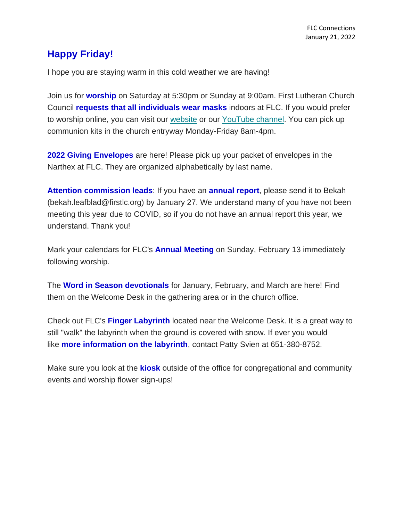## **Happy Friday!**

I hope you are staying warm in this cold weather we are having!

Join us for **worship** on Saturday at 5:30pm or Sunday at 9:00am. First Lutheran Church Council **requests that all individuals wear masks** indoors at FLC. If you would prefer to worship online, you can visit our [website](https://www.firstlc.org/index.php?) or our [YouTube channel.](https://www.youtube.com/channel/UC9XdNg_hQSX1DHMunNI8WQw/featured) You can pick up communion kits in the church entryway Monday-Friday 8am-4pm.

**2022 Giving Envelopes** are here! Please pick up your packet of envelopes in the Narthex at FLC. They are organized alphabetically by last name.

**Attention commission leads**: If you have an **annual report**, please send it to Bekah (bekah.leafblad@firstlc.org) by January 27. We understand many of you have not been meeting this year due to COVID, so if you do not have an annual report this year, we understand. Thank you!

Mark your calendars for FLC's **Annual Meeting** on Sunday, February 13 immediately following worship.

The **Word in Season devotionals** for January, February, and March are here! Find them on the Welcome Desk in the gathering area or in the church office.

Check out FLC's **Finger Labyrinth** located near the Welcome Desk. It is a great way to still "walk" the labyrinth when the ground is covered with snow. If ever you would like **more information on the labyrinth**, contact Patty Svien at 651-380-8752.

Make sure you look at the **kiosk** outside of the office for congregational and community events and worship flower sign-ups!